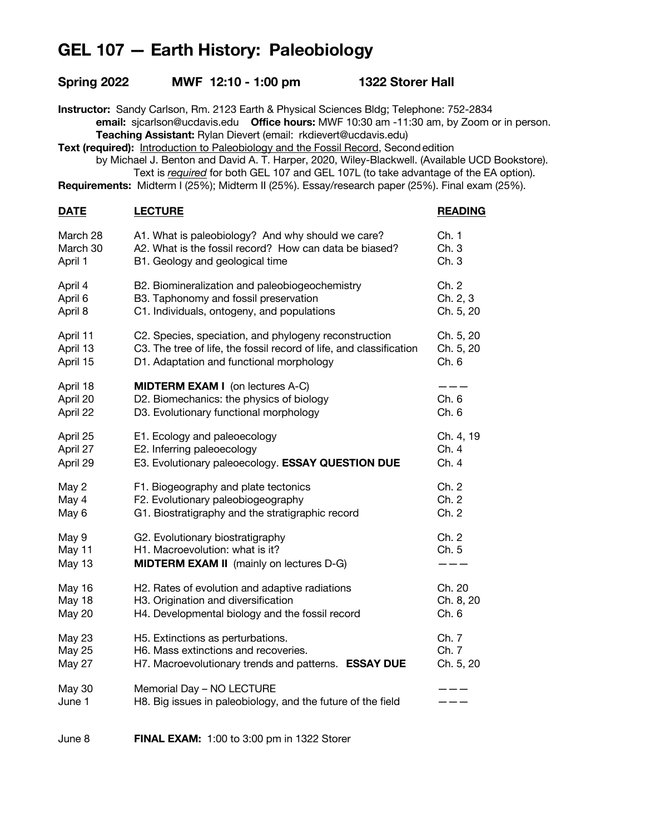## **GEL 107 — Earth History: Paleobiology**

| Spring 2022                                                                                                                                                                                                                                                                                                                                                                                                                                                                                                                                                                                                                                 | MWF 12:10 - 1:00 pm                                                                                                    | <b>1322 Storer Hall</b> |                |
|---------------------------------------------------------------------------------------------------------------------------------------------------------------------------------------------------------------------------------------------------------------------------------------------------------------------------------------------------------------------------------------------------------------------------------------------------------------------------------------------------------------------------------------------------------------------------------------------------------------------------------------------|------------------------------------------------------------------------------------------------------------------------|-------------------------|----------------|
| Instructor: Sandy Carlson, Rm. 2123 Earth & Physical Sciences Bldg; Telephone: 752-2834<br>email: sjcarlson@ucdavis.edu  Office hours: MWF 10:30 am -11:30 am, by Zoom or in person.<br>Teaching Assistant: Rylan Dievert (email: rkdievert@ucdavis.edu)<br>Text (required): Introduction to Paleobiology and the Fossil Record, Second edition<br>by Michael J. Benton and David A. T. Harper, 2020, Wiley-Blackwell. (Available UCD Bookstore).<br>Text is required for both GEL 107 and GEL 107L (to take advantage of the EA option).<br>Requirements: Midterm I (25%); Midterm II (25%). Essay/research paper (25%). Final exam (25%). |                                                                                                                        |                         |                |
| <b>DATE</b>                                                                                                                                                                                                                                                                                                                                                                                                                                                                                                                                                                                                                                 | <b>LECTURE</b>                                                                                                         |                         | <b>READING</b> |
| March 28                                                                                                                                                                                                                                                                                                                                                                                                                                                                                                                                                                                                                                    | A1. What is paleobiology? And why should we care?                                                                      |                         | Ch. 1          |
| March 30                                                                                                                                                                                                                                                                                                                                                                                                                                                                                                                                                                                                                                    | A2. What is the fossil record? How can data be biased?                                                                 |                         | Ch. 3          |
| April 1                                                                                                                                                                                                                                                                                                                                                                                                                                                                                                                                                                                                                                     | B1. Geology and geological time                                                                                        |                         | Ch.3           |
| April 4                                                                                                                                                                                                                                                                                                                                                                                                                                                                                                                                                                                                                                     | B2. Biomineralization and paleobiogeochemistry                                                                         |                         | Ch. 2          |
| April 6                                                                                                                                                                                                                                                                                                                                                                                                                                                                                                                                                                                                                                     | B3. Taphonomy and fossil preservation                                                                                  |                         | Ch. 2, 3       |
| April 8                                                                                                                                                                                                                                                                                                                                                                                                                                                                                                                                                                                                                                     | C1. Individuals, ontogeny, and populations                                                                             |                         | Ch. 5, 20      |
| April 11                                                                                                                                                                                                                                                                                                                                                                                                                                                                                                                                                                                                                                    | C2. Species, speciation, and phylogeny reconstruction                                                                  |                         | Ch. 5, 20      |
| April 13                                                                                                                                                                                                                                                                                                                                                                                                                                                                                                                                                                                                                                    | C3. The tree of life, the fossil record of life, and classification                                                    |                         | Ch. 5, 20      |
| April 15                                                                                                                                                                                                                                                                                                                                                                                                                                                                                                                                                                                                                                    | D1. Adaptation and functional morphology                                                                               |                         | Ch. 6          |
| April 18                                                                                                                                                                                                                                                                                                                                                                                                                                                                                                                                                                                                                                    | <b>MIDTERM EXAM I</b> (on lectures A-C)                                                                                |                         | ---            |
| April 20                                                                                                                                                                                                                                                                                                                                                                                                                                                                                                                                                                                                                                    | D2. Biomechanics: the physics of biology                                                                               |                         | Ch. 6          |
| April 22                                                                                                                                                                                                                                                                                                                                                                                                                                                                                                                                                                                                                                    | D3. Evolutionary functional morphology                                                                                 |                         | Ch. 6          |
| April 25                                                                                                                                                                                                                                                                                                                                                                                                                                                                                                                                                                                                                                    | E1. Ecology and paleoecology                                                                                           |                         | Ch. 4, 19      |
| April 27                                                                                                                                                                                                                                                                                                                                                                                                                                                                                                                                                                                                                                    | E2. Inferring paleoecology                                                                                             |                         | Ch. 4          |
| April 29                                                                                                                                                                                                                                                                                                                                                                                                                                                                                                                                                                                                                                    | E3. Evolutionary paleoecology. ESSAY QUESTION DUE                                                                      |                         | Ch. 4          |
| May 2                                                                                                                                                                                                                                                                                                                                                                                                                                                                                                                                                                                                                                       | F1. Biogeography and plate tectonics                                                                                   |                         | Ch. 2          |
| May 4                                                                                                                                                                                                                                                                                                                                                                                                                                                                                                                                                                                                                                       | F2. Evolutionary paleobiogeography                                                                                     |                         | Ch. 2          |
| May 6                                                                                                                                                                                                                                                                                                                                                                                                                                                                                                                                                                                                                                       | G1. Biostratigraphy and the stratigraphic record                                                                       |                         | Ch. 2          |
| May 9<br>May 11<br>May 13                                                                                                                                                                                                                                                                                                                                                                                                                                                                                                                                                                                                                   | G2. Evolutionary biostratigraphy<br>H1. Macroevolution: what is it?<br><b>MIDTERM EXAM II</b> (mainly on lectures D-G) |                         | Ch. 2<br>Ch. 5 |
| May 16                                                                                                                                                                                                                                                                                                                                                                                                                                                                                                                                                                                                                                      | H2. Rates of evolution and adaptive radiations                                                                         |                         | Ch. 20         |
| May 18                                                                                                                                                                                                                                                                                                                                                                                                                                                                                                                                                                                                                                      | H3. Origination and diversification                                                                                    |                         | Ch. 8, 20      |
| May 20                                                                                                                                                                                                                                                                                                                                                                                                                                                                                                                                                                                                                                      | H4. Developmental biology and the fossil record                                                                        |                         | Ch. 6          |
| <b>May 23</b>                                                                                                                                                                                                                                                                                                                                                                                                                                                                                                                                                                                                                               | H5. Extinctions as perturbations.                                                                                      |                         | Ch. 7          |
| <b>May 25</b>                                                                                                                                                                                                                                                                                                                                                                                                                                                                                                                                                                                                                               | H6. Mass extinctions and recoveries.                                                                                   |                         | Ch. 7          |
| May 27                                                                                                                                                                                                                                                                                                                                                                                                                                                                                                                                                                                                                                      | H7. Macroevolutionary trends and patterns. ESSAY DUE                                                                   |                         | Ch. 5, 20      |
| May 30<br>June 1                                                                                                                                                                                                                                                                                                                                                                                                                                                                                                                                                                                                                            | Memorial Day - NO LECTURE<br>H8. Big issues in paleobiology, and the future of the field                               |                         |                |

June 8 **FINAL EXAM:** 1:00 to 3:00 pm in 1322 Storer